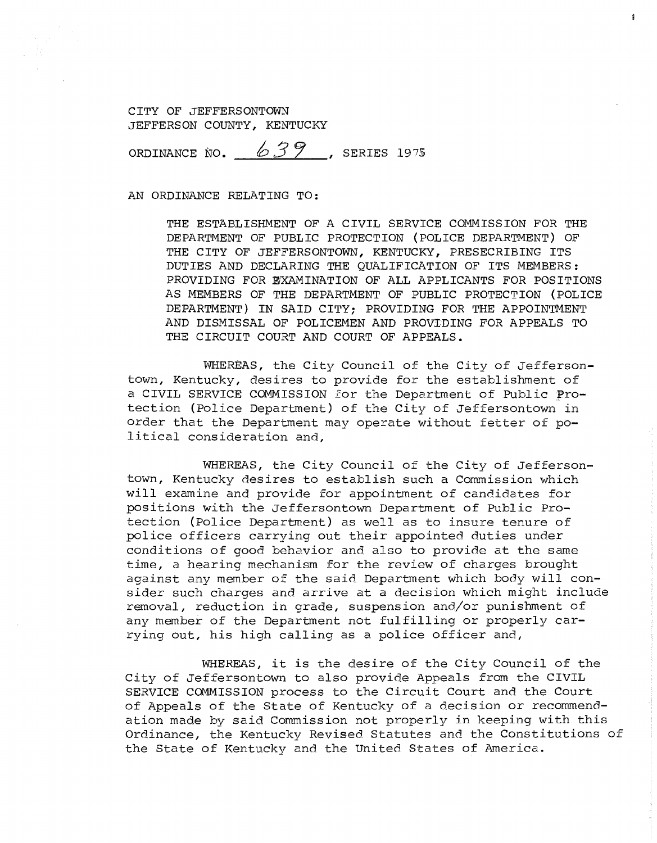ORDINANCE NO.  $639$ , SERIES 1975

AN ORDINANCE RELATING TO:

THE ESTABLISHMENT OF A CIVIL SERVICE COMMISSION FOR THE DEPARTMENT OF PUBLIC PROTECTION (POLICE DEPARTMENT) OF THE CITY OF JEFFERSONTOWN, KENTUCKY, PRESECRIBING ITS DUTIES AND DECLARING THE QUALIFICATION OF ITS MEMBERS: PROVIDING FOR EXAMINATION OF ALL APPLICANTS FOR POSITIONS AS MEMBERS OF THE DEPARTMENT OF PUBLIC PROTECTION (POLICE DEPARTMENT) IN SAID CITY; PROVIDING FOR THE APPOINTMENT AND DISMISSAL OF POLICEMEN AND PROVIDING FOR APPEALS TO THE CIRCUIT COURT AND COURT OF APPEALS.

WHEREAS, the City Council of the City of Jeffersontown, Kentucky, desires to provide for the establishment of a CIVIL SERVICE COMMISSION £or the Department of Public Protection (Police Department) of the City of Jeffersontown in order that the Department may operate without fetter of political consideration and,

WHEREAS, the City Council of the City of Jeffersontown, Kentucky desires to establish such a Commission which will examine and provide for appointment of candidates for positions with the Jeffersontown Department of Public Protection (Police Department) as well as to insure tenure of police officers carrying out their appointed duties under conditions of good behavior and also to provide at the same time, a hearing mechanism for the review of charges brought against any member of the said Department which body will consider such charges and arrive at a decision which might include removal, reduction in grade, suspension and/or punishment of any member of the Department not fulfilling or properly carrying out, his high calling as a police officer and,

WHEREAS, it is the desire of the City Council of the City of Jeffersontown to also provide Appeals from the CIVIL SERVICE COMMISSION process to the Circuit Court and the Court of Appeals of the State of Kentucky of a decision or recommendation made by said Commission not properly in keeping with this Ordinance, the Kentucky Revised Statutes and the Constitutions of the State of Kentucky and the United States of America.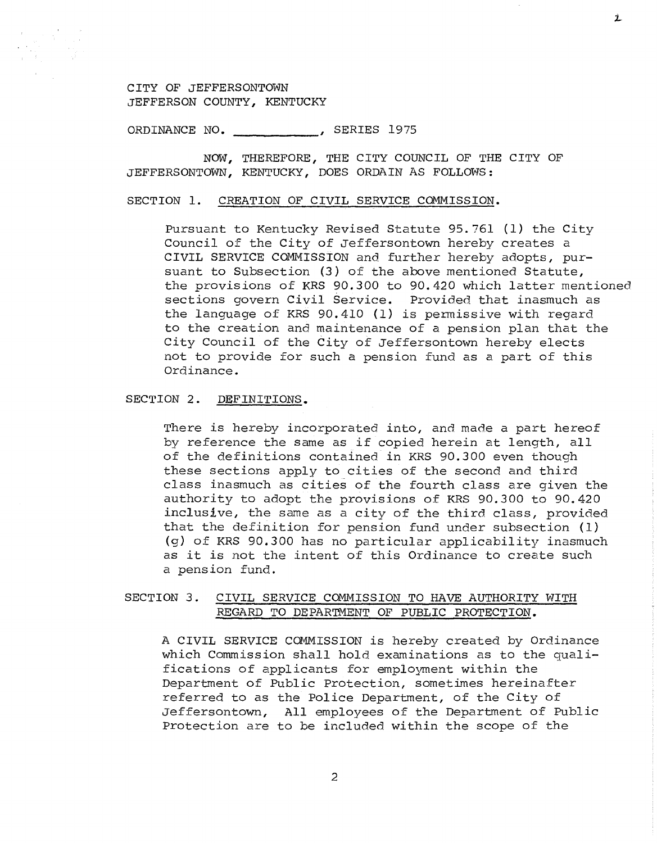ORDINANCE NO. \_\_\_\_\_ \_\_\_\_\_\_, SERIES 1975

NOW, THEREFORE, THE CITY COUNCIL OF THE CITY OF JEFFERSONTOWN, KENTUCKY, DOES ORDAIN AS FOLLOWS:

#### SECTION 1. CREATION OF CIVIL SERVICE COMMISSION.

Pursuant to Kentucky Revised Statute 95.761 (1) the City Council of the City of Jeffersontown hereby creates a CIVIL SERVICE COMMISSION and further hereby adopts, pursuant to Subsection (3) of the above mentioned Statute, the provisions of KRS 90.300 to 90.420 which latter mentioned sections govern Civil Service. Provided that inasmuch as the language of KRS 90.410 (1) is permissive with regard to the creation and maintenance of a pension plan that the City Council of the City of Jeffersontown hereby elects not to provide for such a pension fund as a part of this Ordinance.

#### SECTION 2. DEFINITIONS.

There is hereby incorporated into, and made a part hereof by reference the same as if copied herein at length, all of the definitions contained in KRS 90.300 even though these sections apply to cities of the second and third class inasmuch as cities of the fourth class are given the authority to adopt the provisions of KRS 90.300 to 90.420 inclusive, the same as a city of the third class, provided that the definition for pension fund under subsection (1) (g) of KRS 90.300 has no particular applicability inasmuch as it is not the intent of this Ordinance to create such a pension fund.

## SECTION 3. CIVIL SERVICE COMMISSION TO HAVE AUTHORITY WITH REGARD TO DEPARTMENT OF PUBLIC PROTECTION.

A CIVIL SERVICE COMMISSION is hereby created by Ordinance which Commission shall hold examinations as to the qualifications of applicants for employment within the Department of Public Protection, sometimes hereinafter referred to as the Police Department, of the City of Jeffersontown, All employees of the Department of Public Protection are to be included within the scope of the

Ĺ.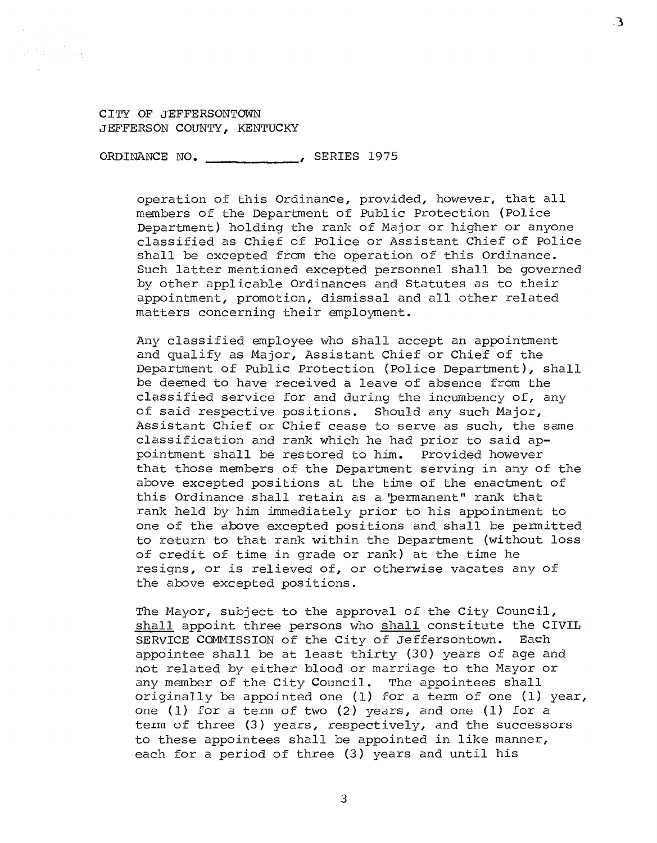ORDINANCE NO. \_\_\_\_\_\_\_\_\_\_\_\_\_\_\_, SERIES 1975

operation of this Ordinance, provided, however, that all members of the Department of Public Protection (Police Department) holding the rank of Major or higher or anyone classified as Chief of Police or Assistant Chief of Police shall be excepted from the operation of this Ordinance. Such latter mentioned excepted personnel shall be governed by other applicable Ordinances and Statutes as to their appointment, promotion, dismissal and all other related matters concerning their employment.

З

Any classified employee who shall accept an appointment and qualify as Major, Assistant Chief or Chief of the Department of Public Protection (Police Department), shall be deemed to have received a leave of absence from the classified service for and during the incumbency of, any of said respective positions. Should any such Major, Assistant Chief or Chief cease to serve as such, the same classification and rank which he had prior to said ap-<br>pointment shall be restored to him. Provided however pointment shall be restored to him. that those members of the Department serving in any of the above excepted positions at the time of the enactment of this Ordinance shall retain as a 'permanent" rank that rank held by him immediately prior to his appointment to one of the above excepted positions and shall be permitted to return to that rank within the Department (without loss of credit of time in grade or rank) at the time he resigns, or is relieved of, or otherwise vacates any of the above excepted positions.

The Mayor, subject to the approval of the City Council, shall appoint three persons who shall constitute the CIVIL SERVICE COMMISSION of the City of Jeffersontown. Each SERVICE COMMISSION of the City of Jeffersontown. appointee shall be at least thirty (30) years of age and not related by either blood or marriage to the Mayor or any member of the City Council. The appointees shall originally be appointed one (1) for a term of one (1) year, one (1) for a term of two (2) years, and one (1) for a term of three (3} years, respectively, and the successors to these appointees shall be appointed in like manner, each for a period of three (3} years and until his

3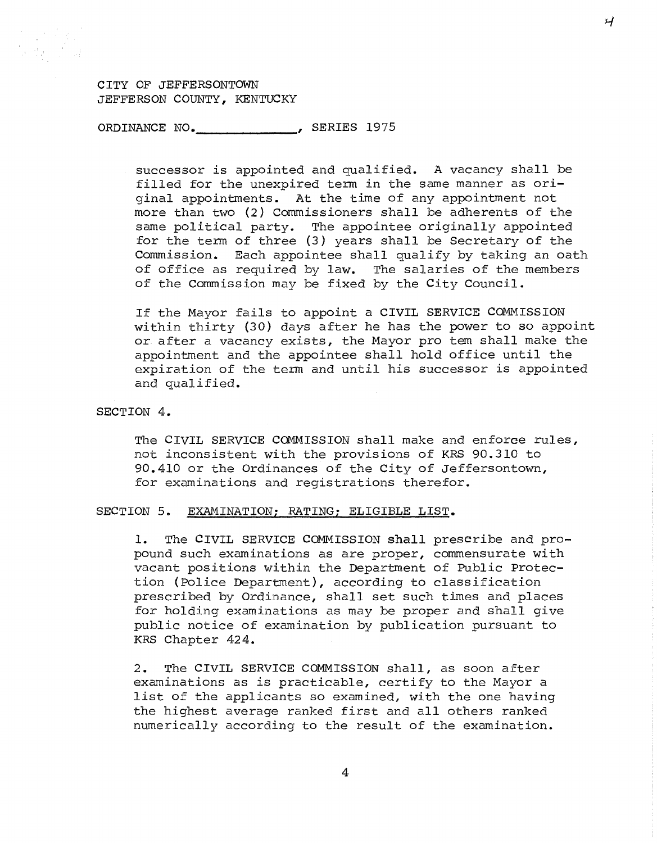ORDINANCE NO.\_\_\_\_\_\_\_\_\_\_\_\_\_, SERIES 1975

successor is appointed and qualified. A vacancy shall be filled for the unexpired term in the same manner as original appointments. At the time of any appointment not more than two (2) Commissioners shall be adherents of the same political party. The appointee originally appointed for the term of three (3) years shall be Secretary of the Commission. Each appointee shall qualify by taking an oath of office as required by law. The salaries of the members of the Commission may be fixed by the City Council.

If the Mayor fails to appoint a CIVIL SERVICE COMMISSION within thirty (30) days after he has the power to so appoint or after a vacancy exists, the Mayor pro tem shall make the appointment and the appointee shall hold office until the expiration of the term and until his successor is appointed and qualified.

SECTION 4.

The CIVIL SERVICE COMMISSION shall make and enforce rules, not inconsistent with the provisions of KRS 90.310 to 90.410 or the Ordinances of the City of Jeffersontown, for examinations and registrations therefor.

# SECTION 5. EXAMINATION; RATING; ELIGIBLE LIST.

1. The CIVIL SERVICE COMMISSION shall prescribe and propound such examinations as are proper, commensurate with vacant positions within the Department of Public Protection (Police Department), according to classification prescribed by Ordinance, shall set such times and places for holding examinations as may be proper and shall give public notice of examination by publication pursuant to KRS Chapter 424.

2. The CIVIL SERVICE COMMISSION shall, as soon after examinations as is practicable, certify to the Mayor a list of the applicants so examined, with the one having the highest average ranked first and all others ranked numerically according to the result of the examination.

 $\mathcal{L}$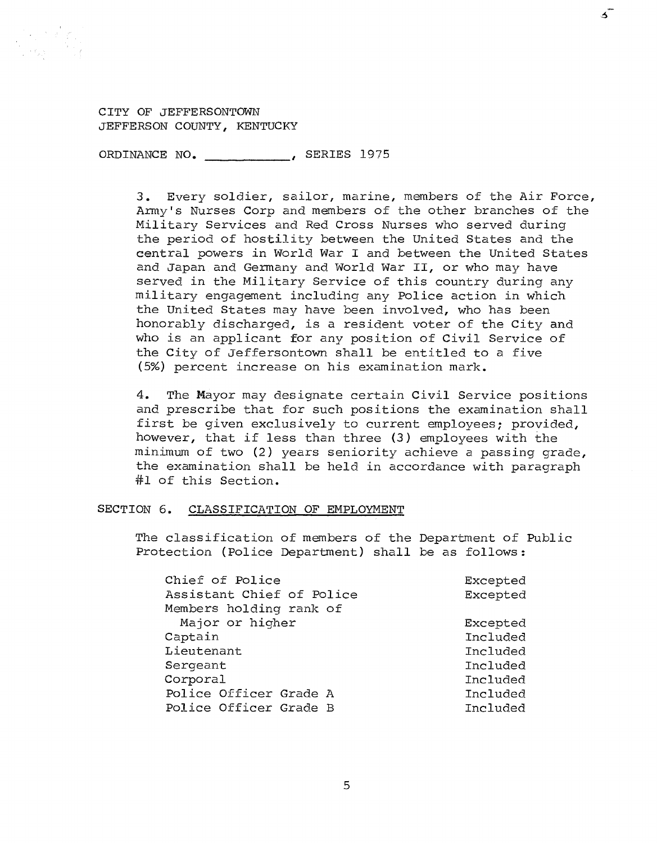ORDINANCE NO. \_\_\_\_\_\_\_\_\_\_\_\_\_, SERIES 1975

3. Every soldier, sailor, marine, members of the Air Force, Army's Nurses Corp and members of the other branches of the Military Services and Red Cross Nurses who served during the period of hostility between the United States and the central powers in World War I and between the United States and Japan and Germany and World War II, or who may have served in the Military Service of this country during any military engagement including any Police action in which the United States may have been involved, who has been honorably discharged, is a resident voter of the City and who is an applicant for any position of Civil Service of the City of Jeffersontown shall be entitled to a five (5%) percent increase on his examination mark.

ദ്

4. The Mayor may designate certain Civil Service positions and prescribe that for such positions the examination shall first be given exclusively to current employees; provided, however, that if less than three (3) employees with the minimum of two (2) years seniority achieve a passing grade, the examination shall be held in accordance with paragraph #1 of this Section.

#### SECTION 6. CLASSIFICATION OF EMPLOYMENT

The classification of members of the Department of Public Protection (Police Department) shall be as follows:

| Chief of Police           | Excepted |
|---------------------------|----------|
| Assistant Chief of Police | Excepted |
| Members holding rank of   |          |
| Major or higher           | Excepted |
| Captain                   | Included |
| Lieutenant                | Included |
| Sergeant                  | Included |
| Corporal                  | Included |
| Police Officer Grade A    | Included |
| Police Officer Grade B    | Included |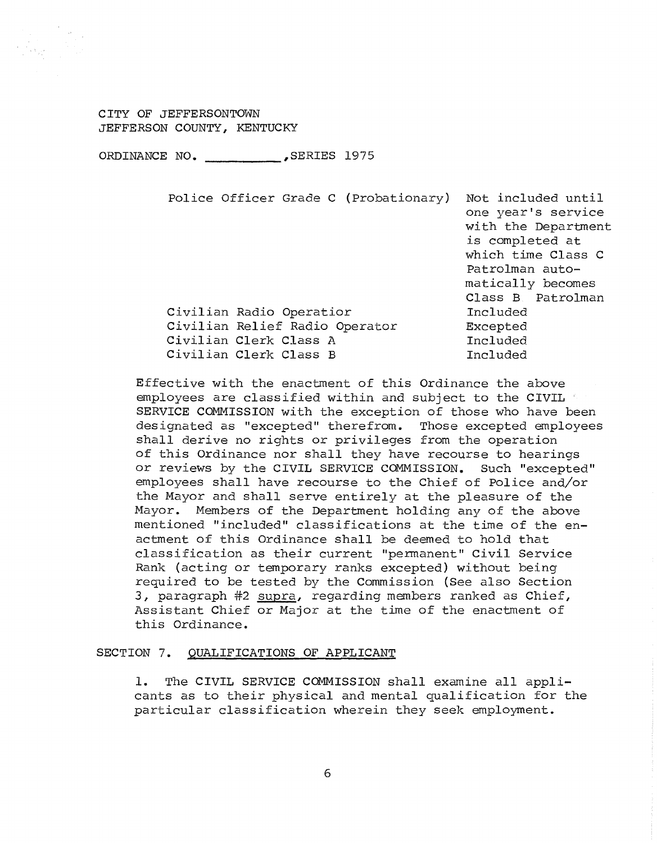ORDINANCE NO. \_\_\_\_\_\_\_\_\_\_ ,SERIES 1975

| Police Officer Grade C (Probationary) | Not included until<br>one year's service<br>with the Department<br>is completed at<br>which time Class C<br>Patrolman auto-<br>matically becomes<br>Class B Patrolman |
|---------------------------------------|-----------------------------------------------------------------------------------------------------------------------------------------------------------------------|
| Civilian Radio Operatior              | Included                                                                                                                                                              |
| Civilian Relief Radio Operator        | Excepted                                                                                                                                                              |
| Civilian Clerk Class A                | Included                                                                                                                                                              |
| Civilian Clerk Class B                | Included                                                                                                                                                              |
|                                       |                                                                                                                                                                       |

Effective with the enactment of this Ordinance the above employees are classified within and subject to the CIVIL SERVICE COMMISSION with the exception of those who have been designated as "excepted" therefrom. Those excepted employees shall derive no rights or privileges from the operation of this Ordinance nor shall they have recourse to hearings or reviews by the CIVIL SERVICE COMMISSION. Such "excepted" employees shall have recourse to the Chief of Police and/or the Mayor and shall serve entirely at the pleasure of the Mayor. Members of the Department holding any of the above mentioned "included" classifications at the time of the enactment of this Ordinance shall be deemed to hold that classification as their current "permanent" Civil Service Rank (acting or temporary ranks excepted) without being required to be tested by the Commission (See also Section 3, paragraph #2 supra, regarding members ranked as Chief, Assistant Chief or Major at the time of the enactment of this Ordinance.

## SECTION 7. QUALIFICATIONS OF APPLICANT

1. The CIVIL SERVICE COMMISSION shall examine all applicants as to their physical and mental qualification for the particular classification wherein they seek employment.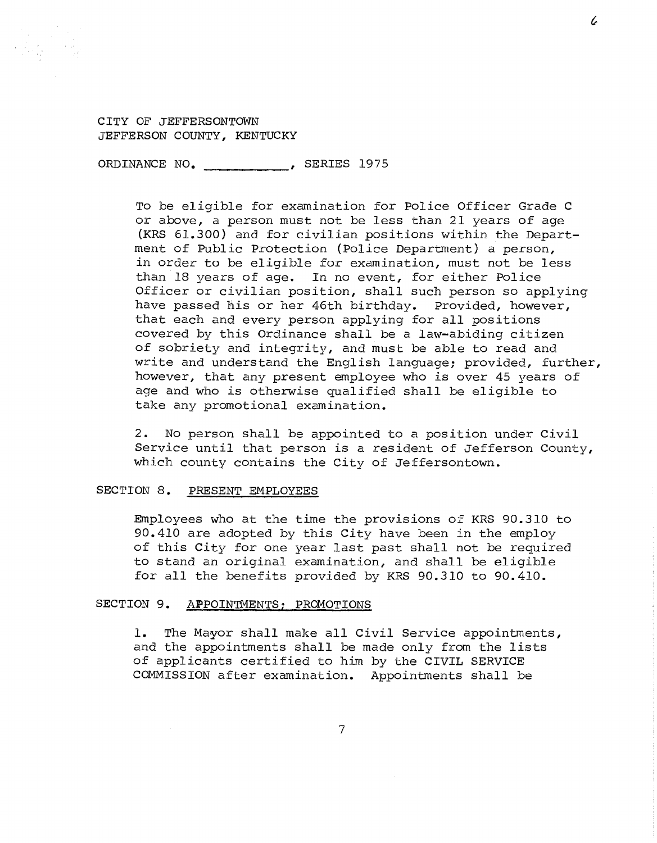ORDINANCE NO. \_\_\_\_\_\_\_\_\_\_\_\_\_\_, SERIES 1975

To be eligible for examination for Police Officer Grade C or above, a person must not be less than 21 years of age (KRS 61.300) and for civilian positions within the Department of Public Protection (Police Department) a person, in order to be eligible for examination, must not be less than 18 years of age. In no event, for either Police Officer or civilian position, shall such person so applying have passed his or her 46th birthday. Provided, however, that each and every person applying for all positions covered by this Ordinance shall be a law-abiding citizen of sobriety and integrity, and must be able to read and write and understand the English language; provided, further, however, that any present employee who is over 45 years of age and who is otherwise qualified shall be eligible to take any promotional examination.

2. No person shall be appointed to a position under Civil Service until that person is a resident of Jefferson County, which county contains the City of Jeffersontown.

## SECTION 8. PRESENT EMPLOYEES

Employees who at the time the provisions of KRS 90.310 to 90.410 are adopted by this City have been in the employ of this City for one year last past shall not be required to stand an original examination, and shall be eligible for all the benefits provided by KRS 90.310 to 90.410.

#### SECTION 9. APPOINTMENTS; PROMOTIONS

1. The Mayor shall make all Civil Service appointments, and the appointments shall be made only from the lists of applicants certified to him by the CIVIL SERVICE COMMISSION after examination. Appointments shall be

l.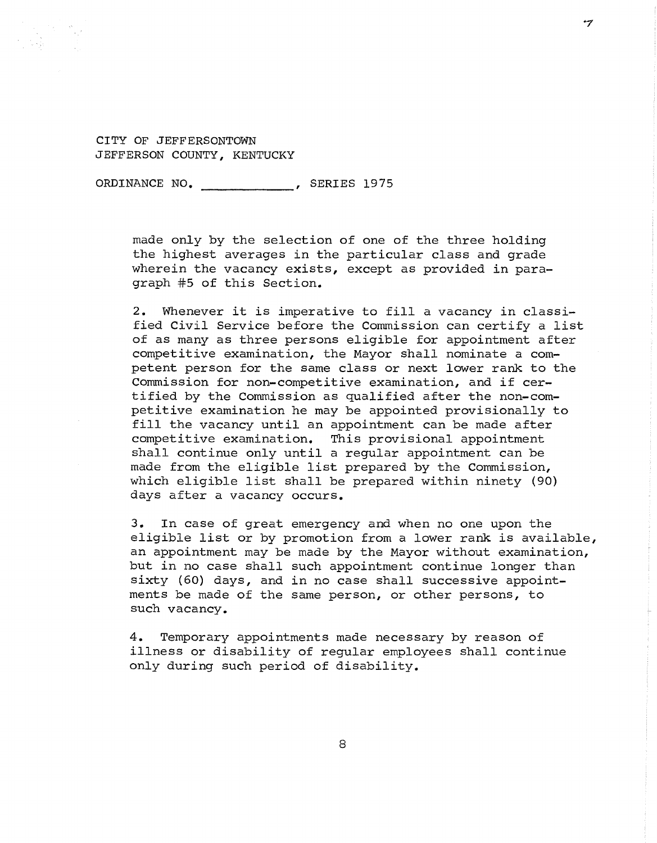ORDINANCE NO. 5ERIES 1975

made only by the selection of one of the three holding the highest averages in the particular class and grade wherein the vacancy exists, except as provided in paragraph #5 of this Section.

-7

2. Whenever it is imperative to fill a vacancy in classified Civil Service before the Commission can certify a list of as many as three persons eligible for appointment after competitive examination, the Mayor shall nominate a competent person for the same class or next lower rank to the Commission for non-competitive examination, and if certified by the Commission as qualified after the non-competitive examination he may be appointed provisionally to fill the vacancy until an appointment can be made after<br>competitive examination. This provisional appointment This provisional appointment shall continue only until a regular appointment can be made from the eligible list prepared by the Commission, which eligible list shall be prepared within ninety (90) days after a vacancy occurs.

3. In case of great emergency and when no one upon the eligible list or by promotion from a lower rank is available, an appointment may be made by the Mayor without examination, but in no case shall such appointment continue longer than sixty (60) days, and in no case shall successive appointments be made of the same person, or other persons, to such vacancy.

4. Temporary appointments made necessary by reason of illness or disability of regular employees shall continue only during such period of disability.

8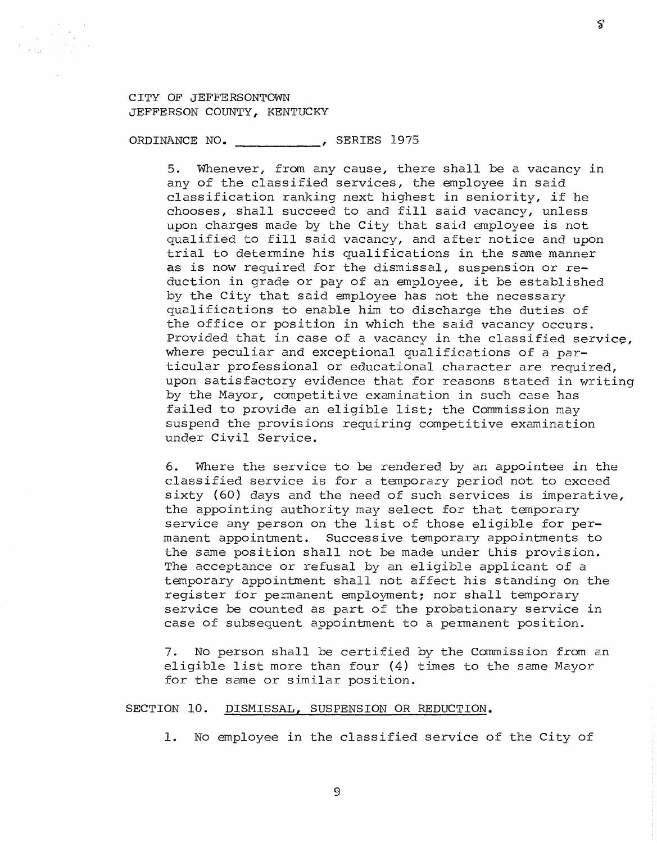ORDINANCE NO. \_\_\_\_\_\_\_\_\_\_\_, SERIES 1975

5. Whenever, from any cause, there shall be a vacancy in any of the classified services, the employee in said classification ranking next highest in seniority, if he chooses, shall succeed to and fill said vacancy, unless upon charges made by the City that said employee is not qualified to fill said vacancy, and after notice and upon trial to determine his qualifications in the same manner as is now required for the dismissal, suspension or reduction in grade or pay of an employee, it be established by the City that said employee has not the necessary qualifications to enable him to discharge the duties of the office or position in which the said vacancy occurs. Provided that in case of a vacancy in the classified service, where peculiar and exceptional qualifications of a particular professional or educational character are required, upon satisfactory evidence that for reasons stated in writing by the Mayor, competitive examination in such case has failed to provide an eligible list; the Commission may suspend the provisions requiring competitive examination under Civil Service.

6. Where the service to be rendered by an appointee in the classified service is for a temporary period not to exceed sixty (60) days and the need of such services is imperative, the appointing authority may select for that temporary service any person on the list of those eligible for permanent appointment. Successive temporary appointments to the same position shall not be made under this provision. The acceptance or refusal by an eligible applicant of a temporary appointment shall not affect his standing on the register for permanent employment; nor shall temporary service be counted as part of the probationary service in case of subsequent appointment to a permanent position.

7. No person shall be certified by the Commission from an eligible list more than four (4) times to the same Mayor for the same or similar position.

## SECTION 10. DISMISSAL, SUSPENSION OR REDUCTION.

1. No employee in the classified service of the City of

Š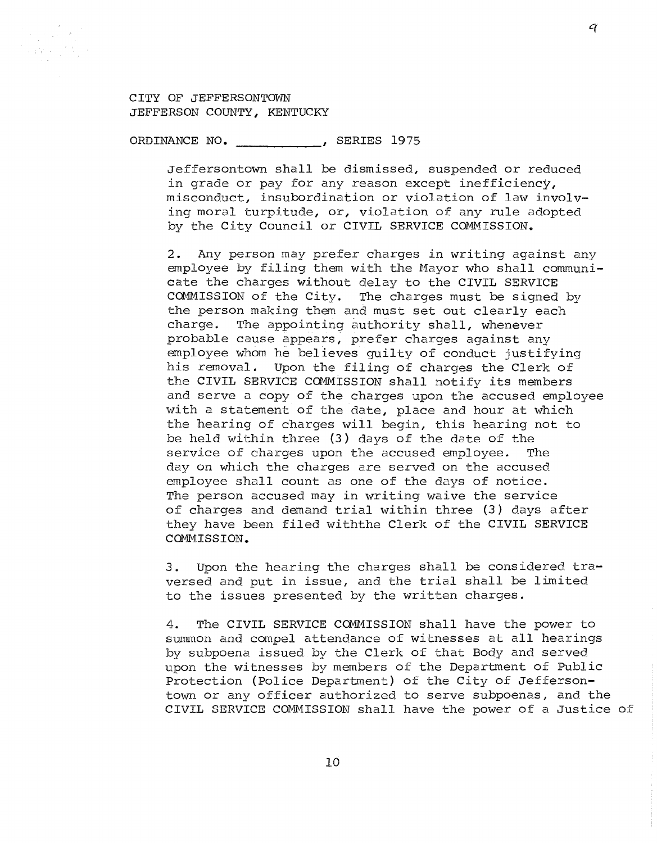$\label{eq:2} \frac{1}{\sqrt{2\pi}}\frac{1}{\sqrt{2\pi}}\int_{0}^{\infty}\frac{d^2\theta}{\sqrt{2\pi}}\,d\theta\,d\theta.$  $\frac{1}{2}\left(\frac{1}{4}\right)^2\left(\frac{1}{4}\right)^2\left(\frac{1}{4}\right)^2\left(\frac{1}{4}\right)^2$ 

ORDINANCE NO. 5ERIES 1975

Jeffersontown shall be dismissed, suspended or reduced in grade or pay for any reason except inefficiency, misconduct, insubordination or violation of law involving moral turpitude, or, violation of any rule adopted by the City Council or CIVIL SERVICE COMMISSION.

2. Any person may prefer charges in writing against any employee by filing them with the Mayor who shall communicate the charges without delay to the CIVIL SERVICE<br>COMMISSION of the City. The charges must be signed The charges must be signed by the person making them and must set out clearly each charge. The appointing authority shall, whenever probable cause appears, prefer charges against any employee whom he believes guilty of conduct justifying his removal. Upon the filing of charges the Clerk of the CIVIL SERVICE COMMISSION shall notify its members and serve a copy of the charges upon the accused employee with a statement of the date, place and hour at which the hearing of charges will begin, this hearing not to be held within three (3) days of the date of the service of charges upon the accused employee. The day on which the charges are served on the accused employee shall count as one of the days of notice. The person accused may in writing waive the service of charges and demand trial within three (3) days after they have been filed withthe Clerk of the CIVIL SERVICE COMMISSION.

3. Upon the hearing the charges shall be considered traversed and put in issue, and the trial shall be limited to the issues presented by the written charges.

4. The CIVIL SERVICE COMMISSION shall have the power to summon and compel attendance of witnesses at all hearings by subpoena issued by the Clerk of that Body and served upon the witnesses by members of the Department of Public Protection (Police Department) of the City of Jeffersontown or any officer authorized to serve subpoenas, and the CIVIL SERVICE COMMISSION shall have the power of a Justice of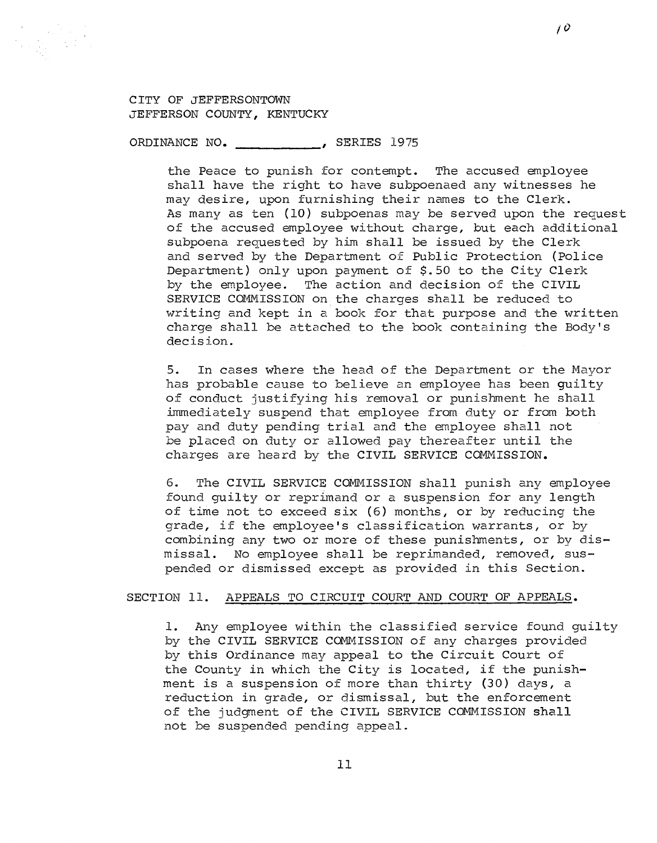ORDINANCE NO. 5ERIES 1975

the Peace to punish for contempt. The accused employee shall have the right to have subpoenaed any witnesses he may desire, upon furnishing their names to the Clerk. As many as ten (10) subpoenas may be served upon the request of the accused employee without charge, but each additional subpoena requested by him shall be issued by the Clerk and served by the Department of Public Protection (Police Department) only upon payment of \$.50 to the City Clerk<br>by the employee. The action and decision of the CIVIL The action and decision of the CIVIL SERVICE COMMISSION on the charges shall be reduced to writing and kept in a book for that purpose and the written charge shall be attached to the book containing the Body's decision.

5. In cases where the head of the Department or the Mayor has probable cause to believe an employee has been guilty of conduct justifying his removal or punishment he shall immediately suspend that employee from duty or from both pay and duty pending trial and the employee shall not be placed on duty or allowed pay thereafter until the charges are heard by the CIVIL SERVICE COMMISSION.

6. The CIVIL SERVICE COMMISSION shall punish any employee found guilty or reprimand or a suspension for any length of time not to exceed six (6) months, or by reducing the grade, if the employee's classification warrants, or by combining any two or more of these punishments, or by dismissal. No employee shall be reprimanded, removed, suspended or dismissed except as provided in this Section.

## SECTION 11. APPEALS TO CIRCUIT COURT AND COURT OF APPEALS.

1. Any employee within the classified service found guilty by the CIVIL SERVICE COMMISSION of any charges provided by this Ordinance may appeal to the Circuit Court of the County in which the City is located, if the punishment is a suspension of more than thirty (30) days, a reduction in grade, or dismissal, but the enforcement of the judgment of the CIVIL SERVICE COMMISSION shall not be suspended pending appeal.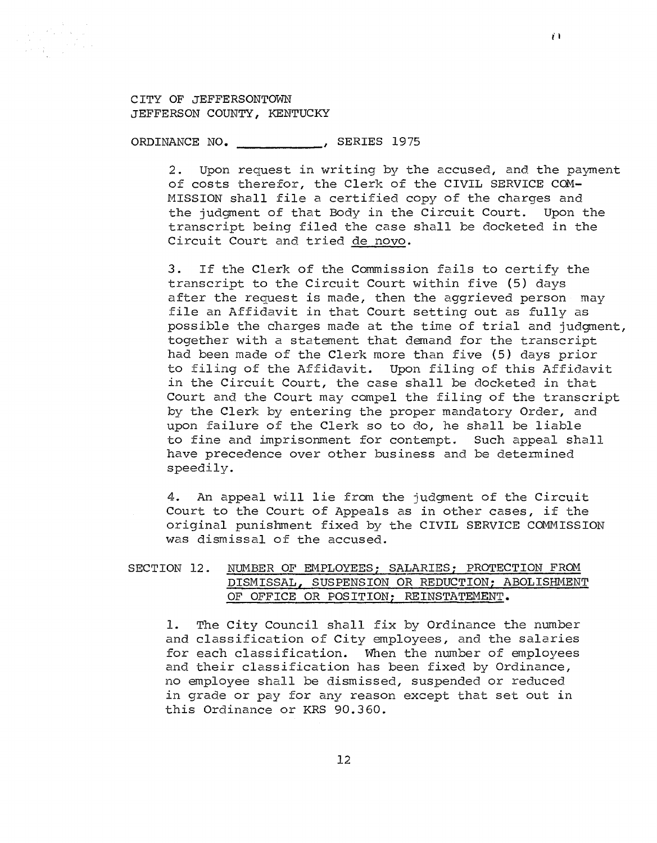ORDINANCE NO. 5ERIES 1975

2. Upon request in writing by the accused, and the payment of costs therefor, the Clerk of the CIVIL SERVICE COM-MISSION shall file a certified copy of the charges and the judgment of that Body in the Circuit Court. Upon the transcript being filed the case shall be docketed in the Circuit Court and tried de novo.

3. If the Clerk of the Commission fails to certify the transcript to the Circuit Court within five (5) days after the request is made, then the aggrieved person may file an Affidavit in that Court setting out as fully as possible the charges made at the time of trial and judgment, together with a statement that demand for the transcript had been made of the Clerk more than five (5) days prior to filing of the Affidavit. Upon filing of this Affidavit in the Circuit Court, the case shall be docketed in that Court and the Court may compel the filing of the transcript by the Clerk by entering the proper mandatory Order, and upon failure of the Clerk so to do, he shall be liable to fine and imprisonment for contempt. Such appeal shall have precedence over other business and be determined speedily.

4. An appeal will lie from the judgment of the Circuit Court to the Court of Appeals as in other cases, if the original punishment fixed by the CIVIL SERVICE COMMISSION was dismissal of the accused.

# SECTION 12. NUMBER OF EMPLOYEES; SALARIES; PROTECTION FROM DISMISSAL, SUSPENSION OR REDUCTION; ABOLISHMENT OF OFFICE OR POSITION; REINSTATEMENT.

l. The City Council shall fix by Ordinance the number and classification of City employees, and the salaries for each classification. When the number of employees and their classification has been fixed by Ordinance, no employee shall be dismissed, suspended or reduced in grade or pay for any reason except that set out in this Ordinance or KRS 90.360.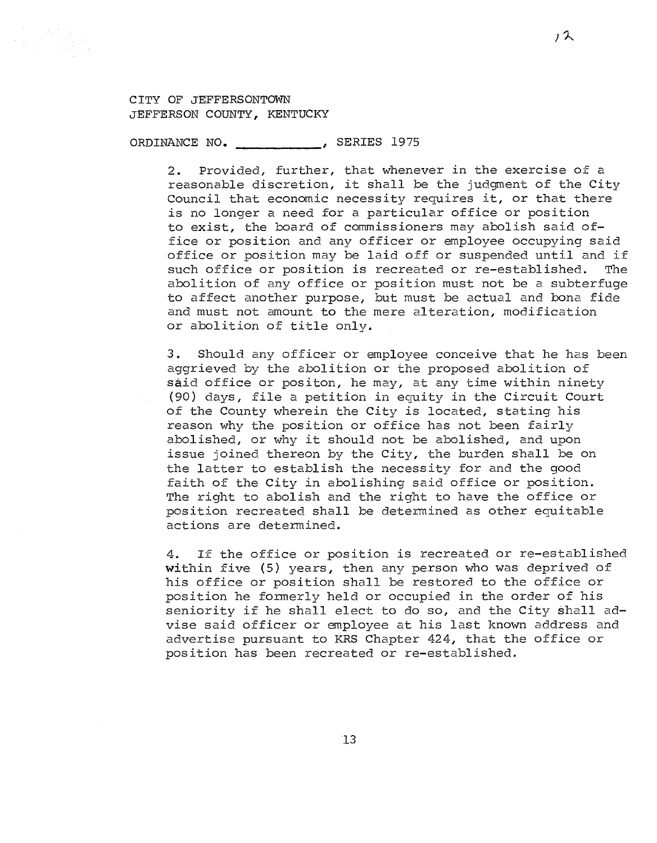

 $\begin{split} \mathcal{L}_{\text{max}}^{\text{max}} & \mathcal{L}_{\text{max}}^{\text{max}} \geq \frac{1}{\sqrt{2}} \mathcal{L}_{\text{max}}^{\text{max}} \end{split}$ 

ORDINANCE NO. -----------' SERIES 1975

2. Provided, further, that whenever in the exercise of a reasonable discretion, it shall be the judgment of the City Council that economic necessity requires it, or that there is no longer a need for a particular office or position to exist, the board of commissioners may abolish said office or position and any officer or employee occupying said office or position may be laid off or suspended until and if<br>such office or position is recreated or re-established. The such office or position is recreated or re-established. abolition of any office or position must not be a subterfuge to affect another purpose, but must be actual and bona fide and must not amount to the mere alteration, modification or abolition of title only.

3. Should any officer or employee conceive that he has been aggrieved by the abolition or the proposed abolition of said office or positon, he may, at any time within ninety (90) days, file a petition in equity in the Circuit Court of the County wherein the City is located, stating his reason why the position or office has not been fairly abolished, or why it should not be abolished, and upon issue joined thereon by the City, the burden shall be on the latter to establish the necessity for and the good faith of the City in abolishing said office or position. The right to abolish and the right to have the office or position recreated shall be determined as other equitable actions are determined.

4. If the office or position is recreated or re-established within five (5) years, then any person who was deprived of his office or position shall be restored to the office or position he formerly held or occupied in the order of his seniority if he shall elect to do so, and the City §hall advise said officer or employee at his last known address and advertise pursuant to KRS Chapter 424, that the office or position has been recreated or re-established.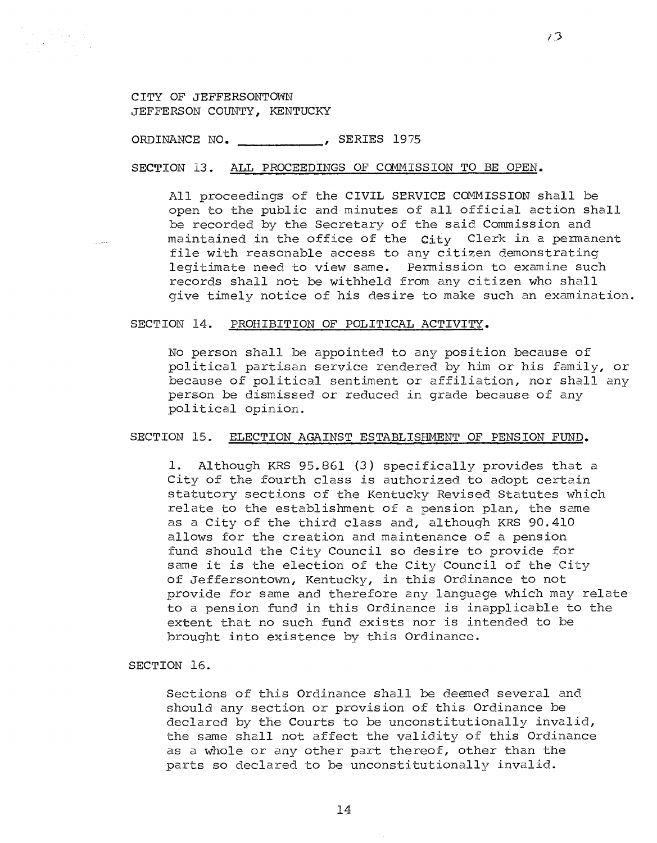ORDINANCE NO. 5ERIES 1975

SECTION 13. ALL PROCEEDINGS OF COMMISSION TO BE OPEN.

All proceedings of the CIVIL SERVICE COMMISSION shall be open to the public and minutes of all official action shall be recorded by the Secretary of the said Commission and maintained in the office of the  $C_1$ ty Clerk in a permanent file with reasonable access to any citizen demonstrating legitimate need to view same. Permission to examine such records shall not be withheld from any citizen who shall give timely notice of his desire to make such an examination.

*i'J* 

#### SECTION 14. PROHIBITION OF POLITICAL ACTIVITY.

No person shall be appointed to any position because of political partisan service rendered by him or his family, or because of political sentiment or affiliation, nor shall any person be dismissed or reduced in grade because of any political opinion.

### SECTION 15. ELECTION AGAINST ESTABLISHMENT OF PENSION FUND.

1. Although KRS 95.861 (3) specifically provides that a City of the fourth class is authorized to adopt certain statutory sections of the Kentucky Revised Statutes which relate to the establishment of a pension plan, the same as a City of the third class and, although KRS 90.410 allows for the creation and maintenance of a pension fund should the City Council so desire to provide for same it is the election of the City Council of the City of Jeffersontown, Kentucky, in this Ordinance to not provide for same and therefore any language which may relate to a pension fund in this Ordinance is inapplicable to the extent that no such fund exists nor is intended to be brought into existence by this Ordinance.

SECTION 16.

Sections of this Ordinance shall be deemed several and should any section or provision of this Ordinance be declared by the Courts to be unconstitutionally invalid, the same shall not affect the validity of this Ordinance as a whole or any other part thereof, other than the parts so declared to be unconstitutionally invalid.